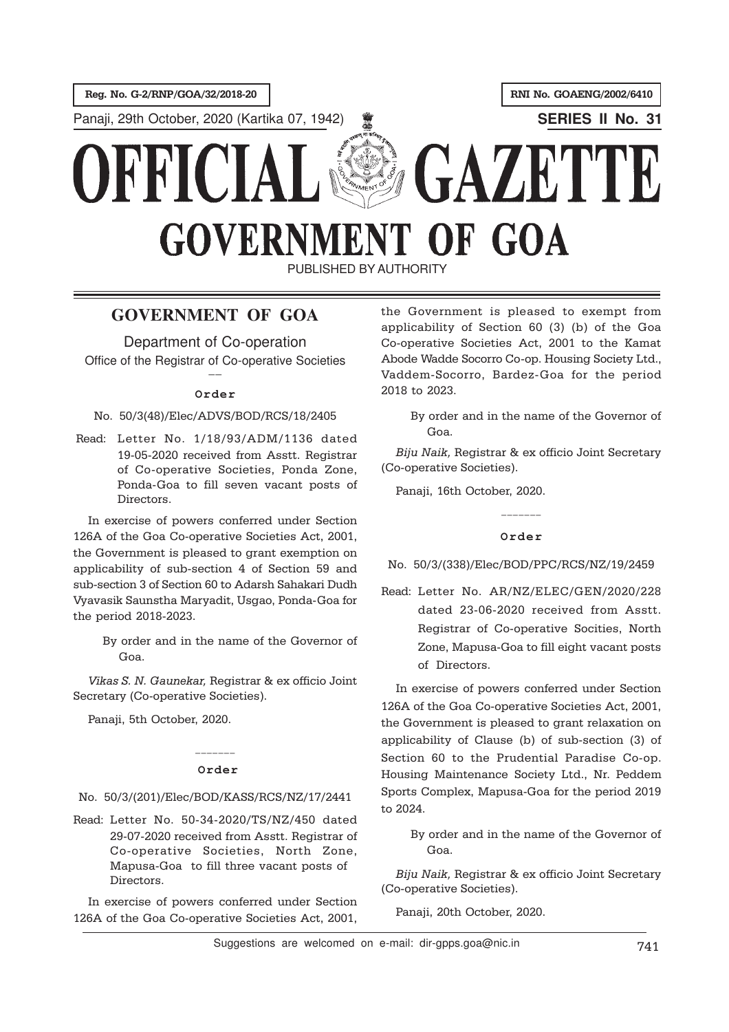Reg. No. G-2/RNP/GOA/32/2018-20 **RNI No. GOAENG/2002/6410** 

**Panaji, 29th October, 2020 (Kartika 07, 1942) SERIES II No. 31** 

# GAZETTE DRRICI **GOVERNMENT OF GOA**

PUBLISHED BY AUTHORITY

# **GOVERNMENT OF GOA**

Department of Co-operation

Office of the Registrar of Co-operative Societies \_\_

# **Order**

# No. 50/3(48)/Elec/ADVS/BOD/RCS/18/2405

Read: Letter No. 1/18/93/ADM/1136 dated 19-05-2020 received from Asstt. Registrar of Co-operative Societies, Ponda Zone, Ponda-Goa to fill seven vacant posts of Directors.

In exercise of powers conferred under Section 126A of the Goa Co-operative Societies Act, 2001, the Government is pleased to grant exemption on applicability of sub-section 4 of Section 59 and sub-section 3 of Section 60 to Adarsh Sahakari Dudh Vyavasik Saunstha Maryadit, Usgao, Ponda-Goa for the period 2018-2023.

> By order and in the name of the Governor of Goa.

Vikas S. N. Gaunekar, Registrar & ex officio Joint Secretary (Co-operative Societies).

Panaji, 5th October, 2020.

# \_\_\_\_\_\_\_ **Order**

# No. 50/3/(201)/Elec/BOD/KASS/RCS/NZ/17/2441

Read: Letter No. 50-34-2020/TS/NZ/450 dated 29-07-2020 received from Asstt. Registrar of Co-operative Societies, North Zone, Mapusa-Goa to fill three vacant posts of Directors.

In exercise of powers conferred under Section 126A of the Goa Co-operative Societies Act, 2001, the Government is pleased to exempt from applicability of Section 60 (3) (b) of the Goa Co-operative Societies Act, 2001 to the Kamat Abode Wadde Socorro Co-op. Housing Society Ltd., Vaddem-Socorro, Bardez-Goa for the period 2018 to 2023.

By order and in the name of the Governor of Goa.

Biju Naik, Registrar & ex officio Joint Secretary (Co-operative Societies).

Panaji, 16th October, 2020.

#### **Order**

No. 50/3/(338)/Elec/BOD/PPC/RCS/NZ/19/2459

Read: Letter No. AR/NZ/ELEC/GEN/2020/228 dated 23-06-2020 received from Asstt. Registrar of Co-operative Socities, North Zone, Mapusa-Goa to fill eight vacant posts of Directors.

In exercise of powers conferred under Section 126A of the Goa Co-operative Societies Act, 2001, the Government is pleased to grant relaxation on applicability of Clause (b) of sub-section (3) of Section 60 to the Prudential Paradise Co-op. Housing Maintenance Society Ltd., Nr. Peddem Sports Complex, Mapusa-Goa for the period 2019 to 2024.

By order and in the name of the Governor of Goa.

Biju Naik, Registrar & ex officio Joint Secretary (Co-operative Societies).

Panaji, 20th October, 2020.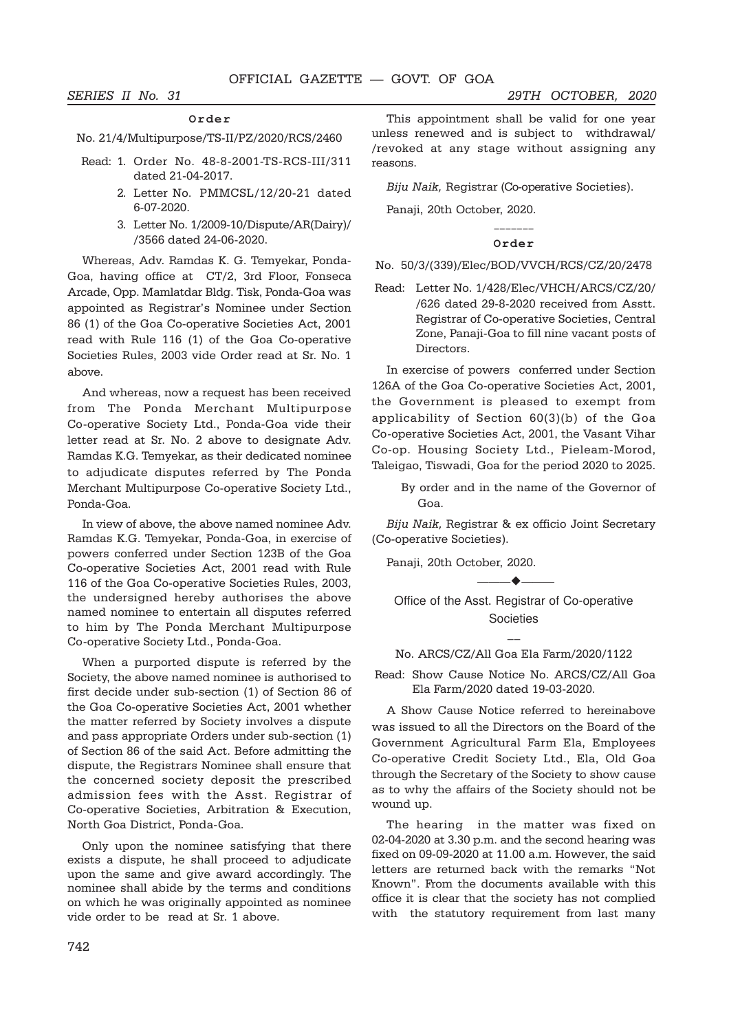#### **Order**

No. 21/4/Multipurpose/TS-II/PZ/2020/RCS/2460

- Read: 1. Order No. 48-8-2001-TS-RCS-III/311 dated 21-04-2017.
	- 2. Letter No. PMMCSL/12/20-21 dated 6-07-2020.
	- 3. Letter No. 1/2009-10/Dispute/AR(Dairy)/ /3566 dated 24-06-2020.

Whereas, Adv. Ramdas K. G. Temyekar, Ponda-Goa, having office at CT/2, 3rd Floor, Fonseca Arcade, Opp. Mamlatdar Bldg. Tisk, Ponda-Goa was appointed as Registrar's Nominee under Section 86 (1) of the Goa Co-operative Societies Act, 2001 read with Rule 116 (1) of the Goa Co-operative Societies Rules, 2003 vide Order read at Sr. No. 1 above.

And whereas, now a request has been received from The Ponda Merchant Multipurpose Co-operative Society Ltd., Ponda-Goa vide their letter read at Sr. No. 2 above to designate Adv. Ramdas K.G. Temyekar, as their dedicated nominee to adjudicate disputes referred by The Ponda Merchant Multipurpose Co-operative Society Ltd., Ponda-Goa.

In view of above, the above named nominee Adv. Ramdas K.G. Temyekar, Ponda-Goa, in exercise of powers conferred under Section 123B of the Goa Co-operative Societies Act, 2001 read with Rule 116 of the Goa Co-operative Societies Rules, 2003, the undersigned hereby authorises the above named nominee to entertain all disputes referred to him by The Ponda Merchant Multipurpose Co-operative Society Ltd., Ponda-Goa.

When a purported dispute is referred by the Society, the above named nominee is authorised to first decide under sub-section (1) of Section 86 of the Goa Co-operative Societies Act, 2001 whether the matter referred by Society involves a dispute and pass appropriate Orders under sub-section (1) of Section 86 of the said Act. Before admitting the dispute, the Registrars Nominee shall ensure that the concerned society deposit the prescribed admission fees with the Asst. Registrar of Co-operative Societies, Arbitration & Execution, North Goa District, Ponda-Goa.

Only upon the nominee satisfying that there exists a dispute, he shall proceed to adjudicate upon the same and give award accordingly. The nominee shall abide by the terms and conditions on which he was originally appointed as nominee vide order to be read at Sr. 1 above.

This appointment shall be valid for one year unless renewed and is subject to withdrawal/ /revoked at any stage without assigning any reasons.

Biju Naik, Registrar (Co-operative Societies).

Panaji, 20th October, 2020.

#### \_\_\_\_\_\_\_ **Order**

No. 50/3/(339)/Elec/BOD/VVCH/RCS/CZ/20/2478

Read: Letter No. 1/428/Elec/VHCH/ARCS/CZ/20/ /626 dated 29-8-2020 received from Asstt. Registrar of Co-operative Societies, Central Zone, Panaji-Goa to fill nine vacant posts of Directors.

In exercise of powers conferred under Section 126A of the Goa Co-operative Societies Act, 2001, the Government is pleased to exempt from applicability of Section 60(3)(b) of the Goa Co-operative Societies Act, 2001, the Vasant Vihar Co-op. Housing Society Ltd., Pieleam-Morod, Taleigao, Tiswadi, Goa for the period 2020 to 2025.

> By order and in the name of the Governor of Goa.

Biju Naik, Registrar & ex officio Joint Secretary (Co-operative Societies).

Panaji, 20th October, 2020.

Office of the Asst. Registrar of Co-operative **Societies** 

 $\blacktriangleright$ 

 $\overline{\phantom{a}}$ No. ARCS/CZ/All Goa Ela Farm/2020/1122

Read: Show Cause Notice No. ARCS/CZ/All Goa Ela Farm/2020 dated 19-03-2020.

A Show Cause Notice referred to hereinabove was issued to all the Directors on the Board of the Government Agricultural Farm Ela, Employees Co-operative Credit Society Ltd., Ela, Old Goa through the Secretary of the Society to show cause as to why the affairs of the Society should not be wound up.

The hearing in the matter was fixed on 02-04-2020 at 3.30 p.m. and the second hearing was fixed on 09-09-2020 at 11.00 a.m. However, the said letters are returned back with the remarks "Not Known". From the documents available with this office it is clear that the society has not complied with the statutory requirement from last many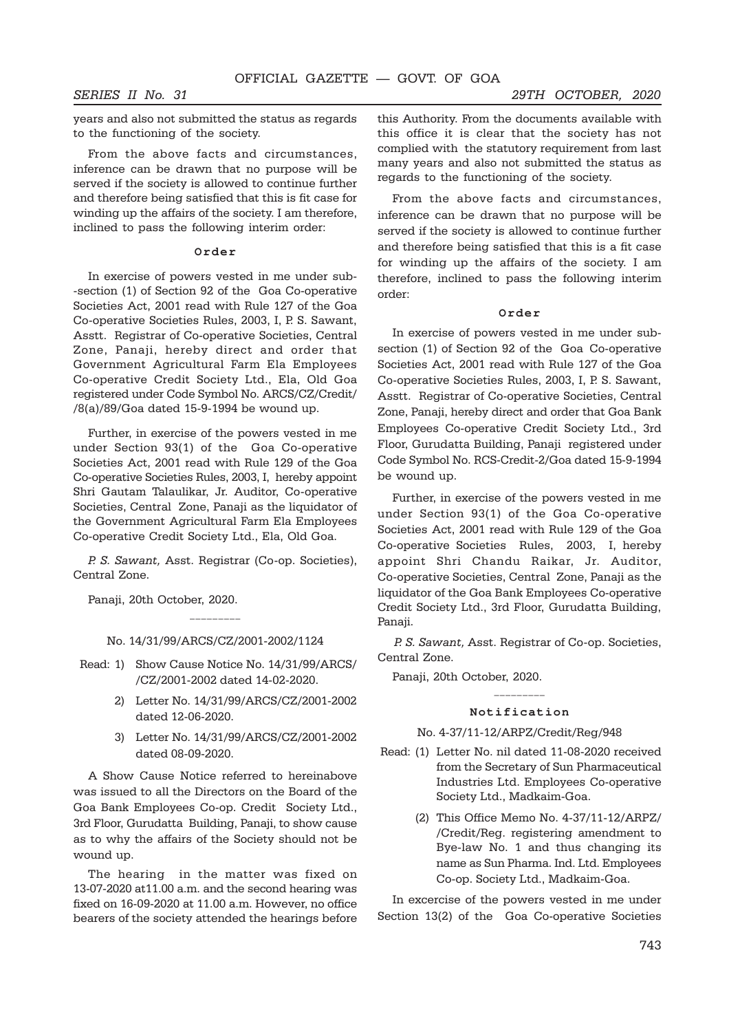years and also not submitted the status as regards to the functioning of the society.

From the above facts and circumstances, inference can be drawn that no purpose will be served if the society is allowed to continue further and therefore being satisfied that this is fit case for winding up the affairs of the society. I am therefore, inclined to pass the following interim order:

#### **Order**

In exercise of powers vested in me under sub- -section (1) of Section 92 of the Goa Co-operative Societies Act, 2001 read with Rule 127 of the Goa Co-operative Societies Rules, 2003, I, P. S. Sawant, Asstt. Registrar of Co-operative Societies, Central Zone, Panaji, hereby direct and order that Government Agricultural Farm Ela Employees Co-operative Credit Society Ltd., Ela, Old Goa registered under Code Symbol No. ARCS/CZ/Credit/ /8(a)/89/Goa dated 15-9-1994 be wound up.

Further, in exercise of the powers vested in me under Section 93(1) of the Goa Co-operative Societies Act, 2001 read with Rule 129 of the Goa Co-operative Societies Rules, 2003, I, hereby appoint Shri Gautam Talaulikar, Jr. Auditor, Co-operative Societies, Central Zone, Panaji as the liquidator of the Government Agricultural Farm Ela Employees Co-operative Credit Society Ltd., Ela, Old Goa.

P. S. Sawant, Asst. Registrar (Co-op. Societies), Central Zone.

Panaji, 20th October, 2020.

No. 14/31/99/ARCS/CZ/2001-2002/1124

\_\_\_\_\_\_\_\_\_

- Read: 1) Show Cause Notice No. 14/31/99/ARCS/ /CZ/2001-2002 dated 14-02-2020.
	- 2) Letter No. 14/31/99/ARCS/CZ/2001-2002 dated 12-06-2020.
	- 3) Letter No. 14/31/99/ARCS/CZ/2001-2002 dated 08-09-2020.

A Show Cause Notice referred to hereinabove was issued to all the Directors on the Board of the Goa Bank Employees Co-op. Credit Society Ltd., 3rd Floor, Gurudatta Building, Panaji, to show cause as to why the affairs of the Society should not be wound up.

The hearing in the matter was fixed on 13-07-2020 at11.00 a.m. and the second hearing was fixed on 16-09-2020 at 11.00 a.m. However, no office bearers of the society attended the hearings before

this Authority. From the documents available with this office it is clear that the society has not complied with the statutory requirement from last many years and also not submitted the status as regards to the functioning of the society.

From the above facts and circumstances, inference can be drawn that no purpose will be served if the society is allowed to continue further and therefore being satisfied that this is a fit case for winding up the affairs of the society. I am therefore, inclined to pass the following interim order:

#### **Order**

In exercise of powers vested in me under subsection (1) of Section 92 of the Goa Co-operative Societies Act, 2001 read with Rule 127 of the Goa Co-operative Societies Rules, 2003, I, P. S. Sawant, Asstt. Registrar of Co-operative Societies, Central Zone, Panaji, hereby direct and order that Goa Bank Employees Co-operative Credit Society Ltd., 3rd Floor, Gurudatta Building, Panaji registered under Code Symbol No. RCS-Credit-2/Goa dated 15-9-1994 be wound up.

Further, in exercise of the powers vested in me under Section 93(1) of the Goa Co-operative Societies Act, 2001 read with Rule 129 of the Goa Co-operative Societies Rules, 2003, I, hereby appoint Shri Chandu Raikar, Jr. Auditor, Co-operative Societies, Central Zone, Panaji as the liquidator of the Goa Bank Employees Co-operative Credit Society Ltd., 3rd Floor, Gurudatta Building, Panaji.

P. S. Sawant, Asst. Registrar of Co-op. Societies, Central Zone.

Panaji, 20th October, 2020.

#### **Notification**

#### No. 4-37/11-12/ARPZ/Credit/Reg/948

- Read: (1) Letter No. nil dated 11-08-2020 received from the Secretary of Sun Pharmaceutical Industries Ltd. Employees Co-operative Society Ltd., Madkaim-Goa.
	- (2) This Office Memo No. 4-37/11-12/ARPZ/ /Credit/Reg. registering amendment to Bye-law No. 1 and thus changing its name as Sun Pharma. Ind. Ltd. Employees Co-op. Society Ltd., Madkaim-Goa.

In excercise of the powers vested in me under Section 13(2) of the Goa Co-operative Societies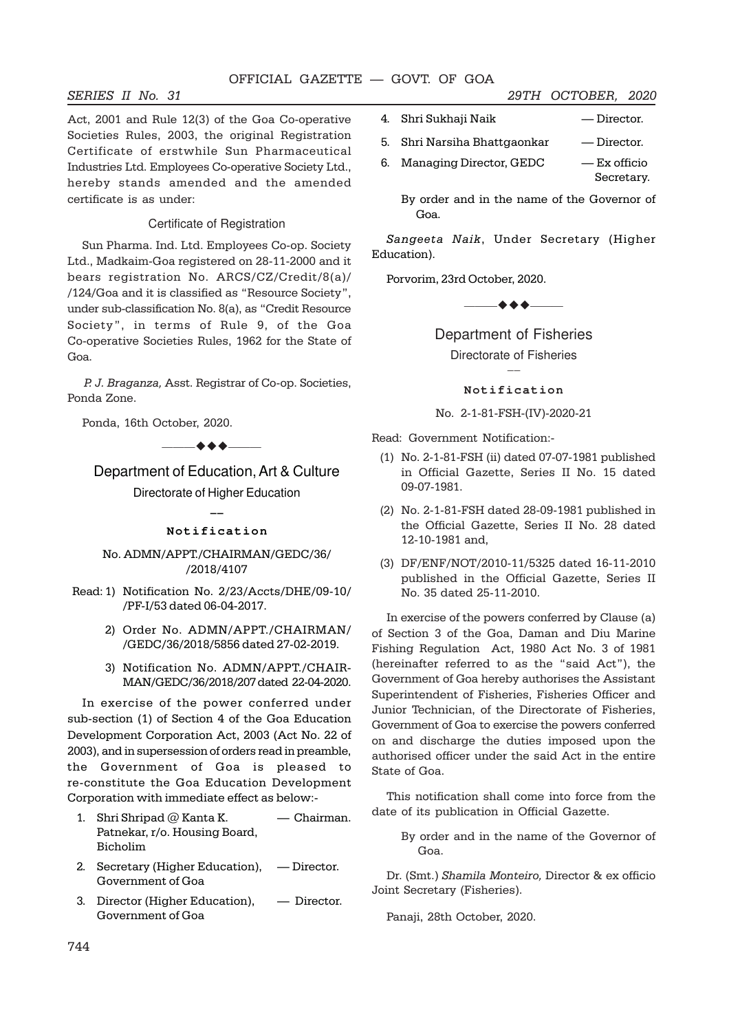#### OFFICIAL GAZETTE — GOVT. OF GOA

Act, 2001 and Rule 12(3) of the Goa Co-operative Societies Rules, 2003, the original Registration Certificate of erstwhile Sun Pharmaceutical Industries Ltd. Employees Co-operative Society Ltd., hereby stands amended and the amended certificate is as under:

#### Certificate of Registration

Sun Pharma. Ind. Ltd. Employees Co-op. Society Ltd., Madkaim-Goa registered on 28-11-2000 and it bears registration No. ARCS/CZ/Credit/8(a)/ /124/Goa and it is classified as "Resource Society", under sub-classification No. 8(a), as "Credit Resource Society", in terms of Rule 9, of the Goa Co-operative Societies Rules, 1962 for the State of Goa.

P. J. Braganza, Asst. Registrar of Co-op. Societies, Ponda Zone.

Ponda, 16th October, 2020.

 $\rightarrow$  + +  $\rightarrow$   $\rightarrow$ 

## Department of Education, Art & Culture

Directorate of Higher Education  $\overline{\phantom{a}}$ 

#### **Notification**

#### No. ADMN/APPT./CHAIRMAN/GEDC/36/ /2018/4107

- Read: 1) Notification No. 2/23/Accts/DHE/09-10/ /PF-I/53 dated 06-04-2017.
	- 2) Order No. ADMN/APPT./CHAIRMAN/ /GEDC/36/2018/5856 dated 27-02-2019.
	- 3) Notification No. ADMN/APPT./CHAIR-MAN/GEDC/36/2018/207 dated 22-04-2020.

In exercise of the power conferred under sub-section (1) of Section 4 of the Goa Education Development Corporation Act, 2003 (Act No. 22 of 2003), and in supersession of orders read in preamble, the Government of Goa is pleased to re-constitute the Goa Education Development Corporation with immediate effect as below:-

- 1. Shri Shripad @ Kanta K. Chairman. Patnekar, r/o. Housing Board, Bicholim
- 2. Secretary (Higher Education), Director. Government of Goa
- 3. Director (Higher Education), Director. Government of Goa
- 4. Shri Sukhaji Naik Director.
- 5. Shri Narsiha Bhattgaonkar Director.
- 6. Managing Director, GEDC Ex officio Secretary.

By order and in the name of the Governor of Goa.

Sangeeta Naik, Under Secretary (Higher Education).

Porvorim, 23rd October, 2020.

 $\bullet\bullet\bullet$ ——

Department of Fisheries Directorate of Fisheries  $\overline{\phantom{a}}$ 

**Notification**

No. 2-1-81-FSH-(IV)-2020-21

Read: Government Notification:-

- (1) No. 2-1-81-FSH (ii) dated 07-07-1981 published in Official Gazette, Series II No. 15 dated 09-07-1981.
- (2) No. 2-1-81-FSH dated 28-09-1981 published in the Official Gazette, Series II No. 28 dated 12-10-1981 and,
- (3) DF/ENF/NOT/2010-11/5325 dated 16-11-2010 published in the Official Gazette, Series II No. 35 dated 25-11-2010.

In exercise of the powers conferred by Clause (a) of Section 3 of the Goa, Daman and Diu Marine Fishing Regulation Act, 1980 Act No. 3 of 1981 (hereinafter referred to as the "said Act"), the Government of Goa hereby authorises the Assistant Superintendent of Fisheries, Fisheries Officer and Junior Technician, of the Directorate of Fisheries, Government of Goa to exercise the powers conferred on and discharge the duties imposed upon the authorised officer under the said Act in the entire State of Goa.

This notification shall come into force from the date of its publication in Official Gazette.

By order and in the name of the Governor of Goa.

Dr. (Smt.) Shamila Monteiro, Director & ex officio Joint Secretary (Fisheries).

Panaji, 28th October, 2020.

#### SERIES II No. 31 29TH OCTOBER, 2020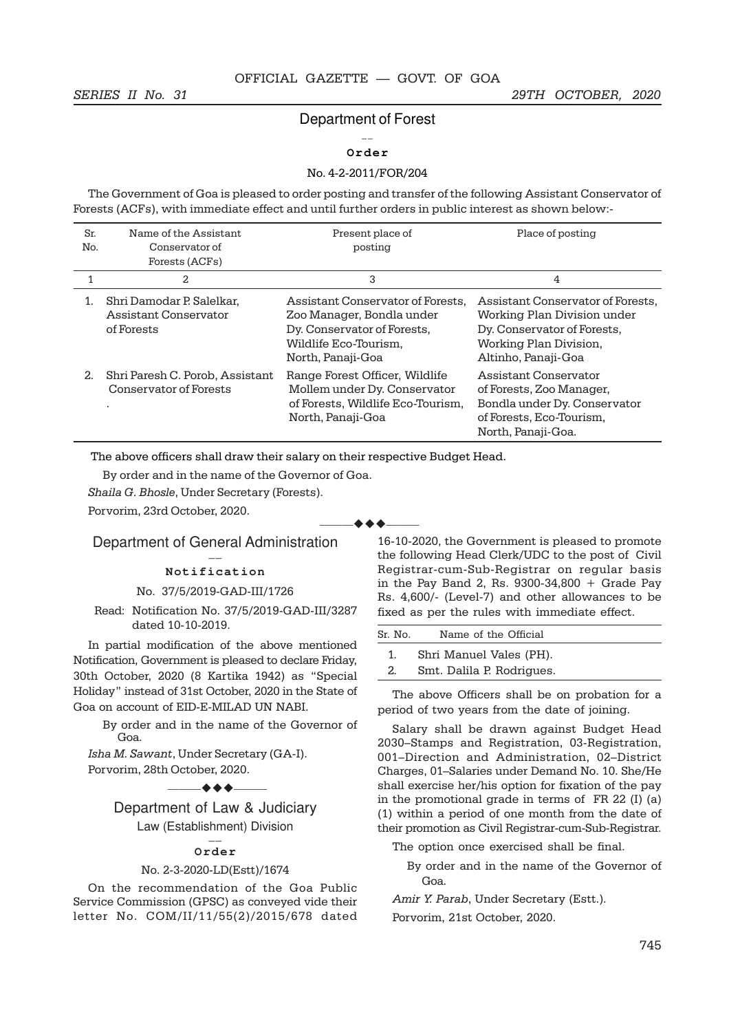## Department of Forest  $\overline{a}$

#### **Order**

#### No. 4-2-2011/FOR/204

The Government of Goa is pleased to order posting and transfer of the following Assistant Conservator of Forests (ACFs), with immediate effect and until further orders in public interest as shown below:-

| Sr.<br>No. | Name of the Assistant<br>Conservator of<br>Forests (ACFs)               | Present place of<br>posting                                                                                                                 | Place of posting                                                                                                                                 |
|------------|-------------------------------------------------------------------------|---------------------------------------------------------------------------------------------------------------------------------------------|--------------------------------------------------------------------------------------------------------------------------------------------------|
|            | 2                                                                       | 3                                                                                                                                           | 4                                                                                                                                                |
|            | Shri Damodar P. Salelkar,<br><b>Assistant Conservator</b><br>of Forests | Assistant Conservator of Forests.<br>Zoo Manager, Bondla under<br>Dy. Conservator of Forests,<br>Wildlife Eco-Tourism.<br>North, Panaji-Goa | Assistant Conservator of Forests,<br>Working Plan Division under<br>Dy. Conservator of Forests,<br>Working Plan Division,<br>Altinho, Panaji-Goa |
| 2.         | Shri Paresh C. Porob, Assistant<br>Conservator of Forests<br>٠          | Range Forest Officer, Wildlife<br>Mollem under Dy. Conservator<br>of Forests, Wildlife Eco-Tourism,<br>North, Panaji-Goa                    | Assistant Conservator<br>of Forests, Zoo Manager,<br>Bondla under Dy. Conservator<br>of Forests, Eco-Tourism,<br>North, Panaji-Goa.              |

 $\blacktriangle$   $\blacktriangle$   $\blacktriangle$ 

The above officers shall draw their salary on their respective Budget Head.

By order and in the name of the Governor of Goa.

Shaila G. Bhosle, Under Secretary (Forests).

Porvorim, 23rd October, 2020.

Department of General Administration  $\overline{\phantom{a}}$ 

#### **Notification**

#### No. 37/5/2019-GAD-III/1726

Read: Notification No. 37/5/2019-GAD-III/3287 dated 10-10-2019.

In partial modification of the above mentioned Notification, Government is pleased to declare Friday, 30th October, 2020 (8 Kartika 1942) as "Special Holiday" instead of 31st October, 2020 in the State of Goa on account of EID-E-MILAD UN NABI.

> By order and in the name of the Governor of Goa.

Isha M. Sawant, Under Secretary (GA-I). Porvorim, 28th October, 2020.

 $\rightarrow$  + +  $-$ 

Department of Law & Judiciary Law (Establishment) Division \_\_\_<br>——

#### **Order**

#### No. 2-3-2020-LD(Estt)/1674

On the recommendation of the Goa Public Service Commission (GPSC) as conveyed vide their letter No. COM/II/11/55(2)/2015/678 dated

16-10-2020, the Government is pleased to promote the following Head Clerk/UDC to the post of Civil Registrar-cum-Sub-Registrar on regular basis in the Pay Band 2, Rs. 9300-34,800  $+$  Grade Pay Rs. 4,600/- (Level-7) and other allowances to be fixed as per the rules with immediate effect.

| Sr. No. | Name of the Official      |
|---------|---------------------------|
|         | Shri Manuel Vales (PH).   |
| 2.      | Smt. Dalila P. Rodrigues. |
|         |                           |

The above Officers shall be on probation for a period of two years from the date of joining.

Salary shall be drawn against Budget Head 2030–Stamps and Registration, 03-Registration, 001–Direction and Administration, 02–District Charges, 01–Salaries under Demand No. 10. She/He shall exercise her/his option for fixation of the pay in the promotional grade in terms of FR 22 (I) (a) (1) within a period of one month from the date of their promotion as Civil Registrar-cum-Sub-Registrar.

The option once exercised shall be final.

By order and in the name of the Governor of Goa.

Amir Y. Parab, Under Secretary (Estt.).

Porvorim, 21st October, 2020.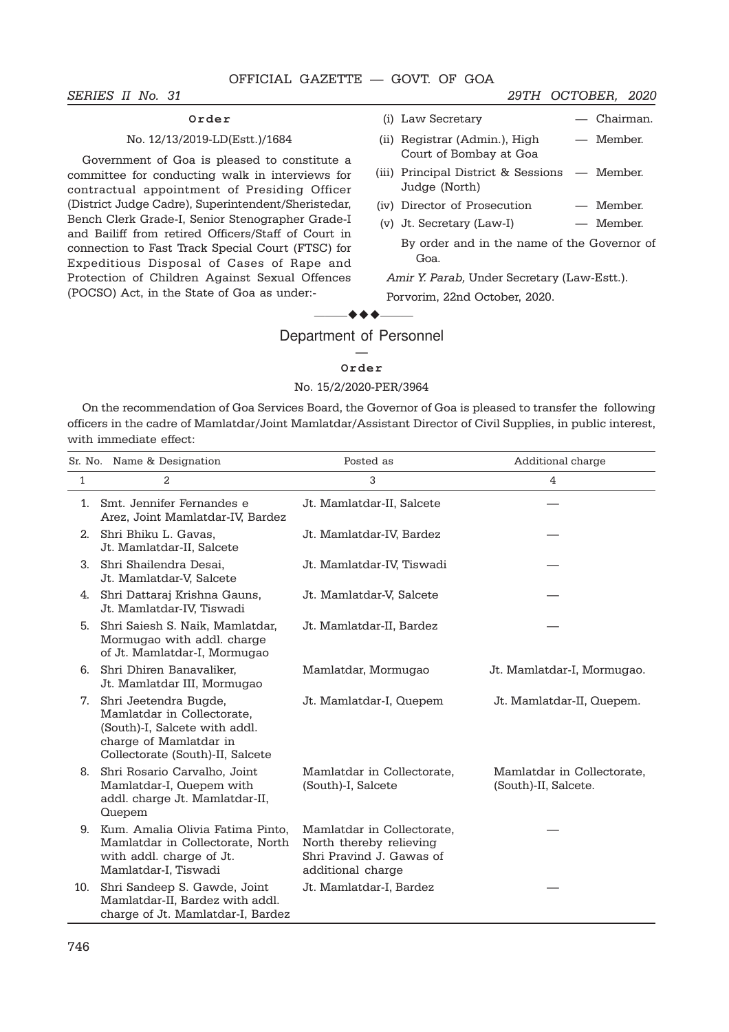#### SERIES II No. 31 29TH OCTOBER, 2020

# **Order**

## No. 12/13/2019-LD(Estt.)/1684

Government of Goa is pleased to constitute a committee for conducting walk in interviews for contractual appointment of Presiding Officer (District Judge Cadre), Superintendent/Sheristedar, Bench Clerk Grade-I, Senior Stenographer Grade-I and Bailiff from retired Officers/Staff of Court in connection to Fast Track Special Court (FTSC) for Expeditious Disposal of Cases of Rape and Protection of Children Against Sexual Offences (POCSO) Act, in the State of Goa as under:-

| (ii) Registrar (Admin.), High | — Member. |
|-------------------------------|-----------|
| Court of Bombay at Goa        |           |

(i) Law Secretary — Chairman.

- (iii) Principal District & Sessions Member. Judge (North)
- (iv) Director of Prosecution Member.
- (v) Jt. Secretary (Law-I) Member.

By order and in the name of the Governor of Goa.

Amir Y. Parab, Under Secretary (Law-Estt.). Porvorim, 22nd October, 2020.

# $\bullet\bullet\bullet$ Department of Personnel

#### — **Order**

#### No. 15/2/2020-PER/3964

On the recommendation of Goa Services Board, the Governor of Goa is pleased to transfer the following officers in the cadre of Mamlatdar/Joint Mamlatdar/Assistant Director of Civil Supplies, in public interest, with immediate effect:

|     | Sr. No. Name & Designation                                                                                                                         | Posted as                                                                                              | Additional charge                                  |
|-----|----------------------------------------------------------------------------------------------------------------------------------------------------|--------------------------------------------------------------------------------------------------------|----------------------------------------------------|
| 1   | 2                                                                                                                                                  | 3                                                                                                      | 4                                                  |
| 1.  | Smt. Jennifer Fernandes e<br>Arez, Joint Mamlatdar-IV, Bardez                                                                                      | Jt. Mamlatdar-II, Salcete                                                                              |                                                    |
| 2.  | Shri Bhiku L. Gavas,<br>Jt. Mamlatdar-II, Salcete                                                                                                  | Jt. Mamlatdar-IV, Bardez                                                                               |                                                    |
| 3.  | Shri Shailendra Desai.<br>Jt. Mamlatdar-V, Salcete                                                                                                 | Jt. Mamlatdar-IV, Tiswadi                                                                              |                                                    |
| 4.  | Shri Dattaraj Krishna Gauns,<br>Jt. Mamlatdar-IV, Tiswadi                                                                                          | Jt. Mamlatdar-V, Salcete                                                                               |                                                    |
| 5.  | Shri Saiesh S. Naik, Mamlatdar,<br>Mormugao with addl. charge<br>of Jt. Mamlatdar-I, Mormugao                                                      | Jt. Mamlatdar-II, Bardez                                                                               |                                                    |
| 6.  | Shri Dhiren Banavaliker,<br>Jt. Mamlatdar III, Mormugao                                                                                            | Mamlatdar, Mormugao                                                                                    | Jt. Mamlatdar-I, Mormugao.                         |
| 7.  | Shri Jeetendra Bugde,<br>Mamlatdar in Collectorate,<br>(South)-I, Salcete with addl.<br>charge of Mamlatdar in<br>Collectorate (South)-II, Salcete | Jt. Mamlatdar-I, Quepem                                                                                | Jt. Mamlatdar-II, Quepem.                          |
| 8.  | Shri Rosario Carvalho, Joint<br>Mamlatdar-I, Quepem with<br>addl. charge Jt. Mamlatdar-II,<br>Quepem                                               | Mamlatdar in Collectorate,<br>(South)-I, Salcete                                                       | Mamlatdar in Collectorate,<br>(South)-II, Salcete. |
| 9.  | Kum. Amalia Olivia Fatima Pinto,<br>Mamlatdar in Collectorate, North<br>with addl. charge of Jt.<br>Mamlatdar-I, Tiswadi                           | Mamlatdar in Collectorate,<br>North thereby relieving<br>Shri Pravind J. Gawas of<br>additional charge |                                                    |
| 10. | Shri Sandeep S. Gawde, Joint<br>Mamlatdar-II, Bardez with addl.<br>charge of Jt. Mamlatdar-I, Bardez                                               | Jt. Mamlatdar-I, Bardez                                                                                |                                                    |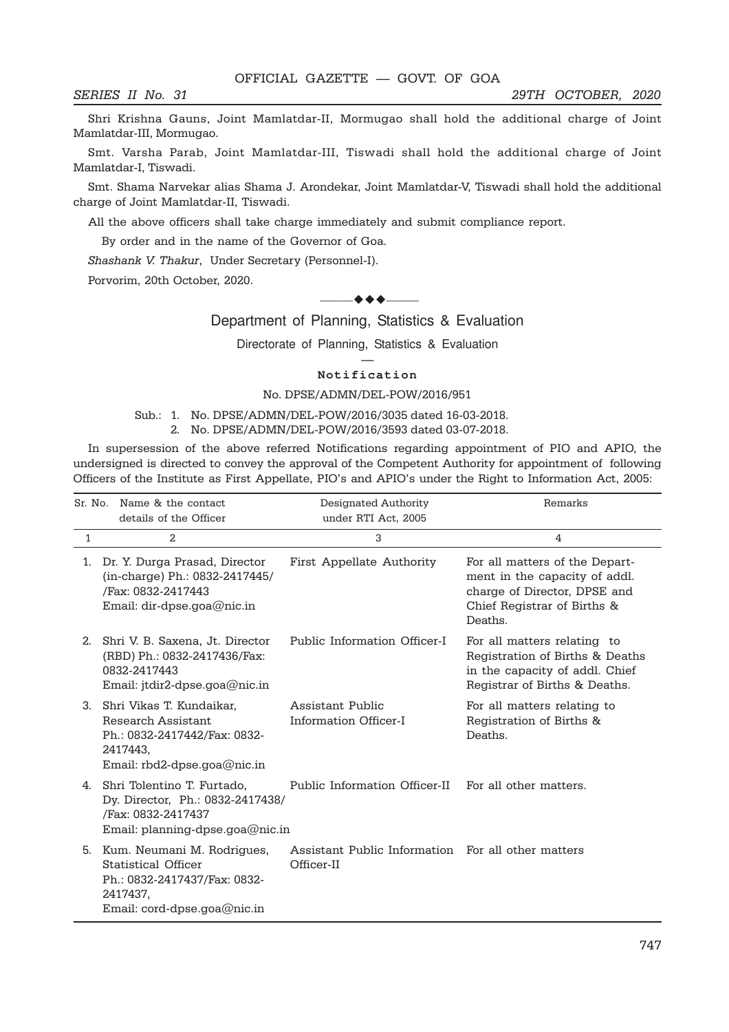Shri Krishna Gauns, Joint Mamlatdar-II, Mormugao shall hold the additional charge of Joint Mamlatdar-III, Mormugao.

Smt. Varsha Parab, Joint Mamlatdar-III, Tiswadi shall hold the additional charge of Joint Mamlatdar-I, Tiswadi.

Smt. Shama Narvekar alias Shama J. Arondekar, Joint Mamlatdar-V, Tiswadi shall hold the additional charge of Joint Mamlatdar-II, Tiswadi.

All the above officers shall take charge immediately and submit compliance report.

By order and in the name of the Governor of Goa.

Shashank V. Thakur, Under Secretary (Personnel-I).

Porvorim, 20th October, 2020.

#### $-$  + +  $-$

Department of Planning, Statistics & Evaluation

Directorate of Planning, Statistics & Evaluation

#### — **Notification**

#### No. DPSE/ADMN/DEL-POW/2016/951

#### Sub.: 1. No. DPSE/ADMN/DEL-POW/2016/3035 dated 16-03-2018. 2. No. DPSE/ADMN/DEL-POW/2016/3593 dated 03-07-2018.

In supersession of the above referred Notifications regarding appointment of PIO and APIO, the undersigned is directed to convey the approval of the Competent Authority for appointment of following Officers of the Institute as First Appellate, PIO's and APIO's under the Right to Information Act, 2005:

|    | Sr. No. Name & the contact<br>details of the Officer                                                                         | Designated Authority<br>under RTI Act, 2005                      | Remarks                                                                                                                                   |
|----|------------------------------------------------------------------------------------------------------------------------------|------------------------------------------------------------------|-------------------------------------------------------------------------------------------------------------------------------------------|
| 1  | 2                                                                                                                            | 3                                                                | 4                                                                                                                                         |
| 1. | Dr. Y. Durga Prasad, Director<br>(in-charge) Ph.: 0832-2417445/<br>/Fax: 0832-2417443<br>Email: dir-dpse.goa@nic.in          | First Appellate Authority                                        | For all matters of the Depart-<br>ment in the capacity of addl.<br>charge of Director, DPSE and<br>Chief Registrar of Births &<br>Deaths. |
| 2. | Shri V. B. Saxena, Jt. Director<br>(RBD) Ph.: 0832-2417436/Fax:<br>0832-2417443<br>Email: jtdir2-dpse.goa@nic.in             | Public Information Officer-I                                     | For all matters relating to<br>Registration of Births & Deaths<br>in the capacity of addl. Chief<br>Registrar of Births & Deaths.         |
| 3. | Shri Vikas T. Kundaikar.<br>Research Assistant<br>Ph.: 0832-2417442/Fax: 0832-<br>2417443,<br>Email: rbd2-dpse.goa@nic.in    | Assistant Public<br>Information Officer-I                        | For all matters relating to<br>Registration of Births &<br>Deaths.                                                                        |
| 4. | Shri Tolentino T. Furtado,<br>Dy. Director, Ph.: 0832-2417438/<br>/Fax: 0832-2417437<br>Email: planning-dpse.goa@nic.in      | Public Information Officer-II                                    | For all other matters.                                                                                                                    |
| 5. | Kum. Neumani M. Rodrigues,<br>Statistical Officer<br>Ph.: 0832-2417437/Fax: 0832-<br>2417437,<br>Email: cord-dpse.goa@nic.in | Assistant Public Information For all other matters<br>Officer-II |                                                                                                                                           |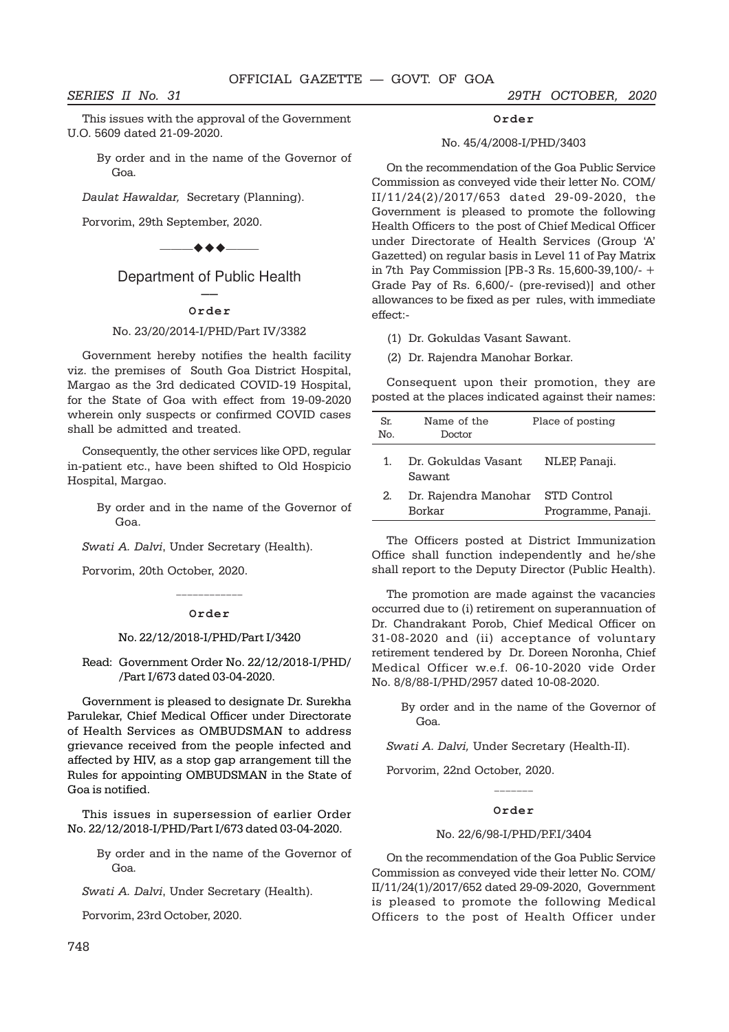SERIES II No. 31 29TH OCTOBER, 2020

This issues with the approval of the Government U.O. 5609 dated 21-09-2020.

By order and in the name of the Governor of Goa.

Daulat Hawaldar, Secretary (Planning).

Porvorim, 29th September, 2020.



# Department of Public Health

#### –– **Order**

#### No. 23/20/2014-I/PHD/Part IV/3382

Government hereby notifies the health facility viz. the premises of South Goa District Hospital, Margao as the 3rd dedicated COVID-19 Hospital, for the State of Goa with effect from 19-09-2020 wherein only suspects or confirmed COVID cases shall be admitted and treated.

Consequently, the other services like OPD, regular in-patient etc., have been shifted to Old Hospicio Hospital, Margao.

By order and in the name of the Governor of Goa.

Swati A. Dalvi, Under Secretary (Health).

Porvorim, 20th October, 2020.

# \_\_\_\_\_\_\_\_\_\_\_\_ **Order**

#### No. 22/12/2018-I/PHD/Part I/3420

Read: Government Order No. 22/12/2018-I/PHD/ /Part I/673 dated 03-04-2020.

Government is pleased to designate Dr. Surekha Parulekar, Chief Medical Officer under Directorate of Health Services as OMBUDSMAN to address grievance received from the people infected and affected by HIV, as a stop gap arrangement till the Rules for appointing OMBUDSMAN in the State of Goa is notified.

This issues in supersession of earlier Order No. 22/12/2018-I/PHD/Part I/673 dated 03-04-2020.

> By order and in the name of the Governor of Goa.

Swati A. Dalvi, Under Secretary (Health).

Porvorim, 23rd October, 2020.

# **Order**

#### No. 45/4/2008-I/PHD/3403

On the recommendation of the Goa Public Service Commission as conveyed vide their letter No. COM/ II/11/24(2)/2017/653 dated 29-09-2020, the Government is pleased to promote the following Health Officers to the post of Chief Medical Officer under Directorate of Health Services (Group 'A' Gazetted) on regular basis in Level 11 of Pay Matrix in 7th Pay Commission [PB-3 Rs. 15,600-39,100/- + Grade Pay of Rs. 6,600/- (pre-revised)] and other allowances to be fixed as per rules, with immediate effect:-

(1) Dr. Gokuldas Vasant Sawant.

(2) Dr. Rajendra Manohar Borkar.

Consequent upon their promotion, they are posted at the places indicated against their names:

| Sr.<br>Nο. | Name of the<br>Doctor                             | Place of posting   |
|------------|---------------------------------------------------|--------------------|
| 1.         | Dr. Gokuldas Vasant<br>Sawant.                    | NLEP, Panaji.      |
| 2.         | Dr. Rajendra Manohar STD Control<br><b>Borkar</b> | Programme, Panaji. |

The Officers posted at District Immunization Office shall function independently and he/she shall report to the Deputy Director (Public Health).

The promotion are made against the vacancies occurred due to (i) retirement on superannuation of Dr. Chandrakant Porob, Chief Medical Officer on 31-08-2020 and (ii) acceptance of voluntary retirement tendered by Dr. Doreen Noronha, Chief Medical Officer w.e.f. 06-10-2020 vide Order No. 8/8/88-I/PHD/2957 dated 10-08-2020.

By order and in the name of the Governor of Goa.

Swati A. Dalvi, Under Secretary (Health-II).

Porvorim, 22nd October, 2020.

# \_\_\_\_\_\_\_ **Order**

#### No. 22/6/98-I/PHD/P.F.I/3404

On the recommendation of the Goa Public Service Commission as conveyed vide their letter No. COM/ II/11/24(1)/2017/652 dated 29-09-2020, Government is pleased to promote the following Medical Officers to the post of Health Officer under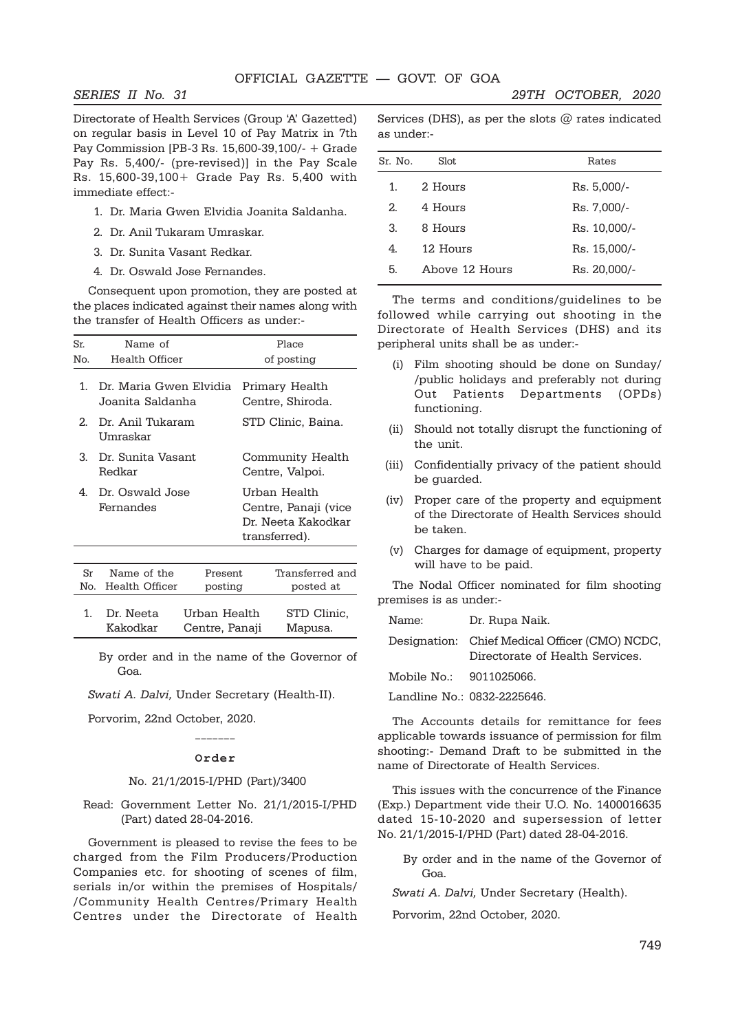Directorate of Health Services (Group 'A' Gazetted) on regular basis in Level 10 of Pay Matrix in 7th Pay Commission [PB-3 Rs. 15,600-39,100/- + Grade Pay Rs. 5,400/- (pre-revised)] in the Pay Scale Rs. 15,600-39,100+ Grade Pay Rs. 5,400 with immediate effect:-

- 1. Dr. Maria Gwen Elvidia Joanita Saldanha.
- 2. Dr. Anil Tukaram Umraskar.
- 3. Dr. Sunita Vasant Redkar.
- 4. Dr. Oswald Jose Fernandes.

Consequent upon promotion, they are posted at the places indicated against their names along with the transfer of Health Officers as under:-

| Sr.       | Name of                                    |                     | Place                                                                       |  |
|-----------|--------------------------------------------|---------------------|-----------------------------------------------------------------------------|--|
| No.       | Health Officer                             |                     | of posting                                                                  |  |
| 1.        | Dr. Maria Gwen Elvidia<br>Joanita Saldanha |                     | Primary Health<br>Centre, Shiroda.                                          |  |
| 2         | Dr. Anil Tukaram<br>Umraskar               |                     | STD Clinic, Baina.                                                          |  |
| 3.        | Dr. Sunita Vasant<br>Redkar                |                     | Community Health<br>Centre, Valpoi.                                         |  |
| 4.        | Dr. Oswald Jose<br>Fernandes               |                     | Urban Health<br>Centre, Panaji (vice<br>Dr. Neeta Kakodkar<br>transferred). |  |
|           |                                            |                     |                                                                             |  |
| Sr<br>No. | Name of the<br>Health Officer              | Present.<br>posting | Transferred and<br>posted at                                                |  |
| 1.        | Dr. Neeta                                  | Urban Health        | STD Clinic.                                                                 |  |

By order and in the name of the Governor of Goa.

Kakodkar Centre, Panaji Mapusa.

Swati A. Dalvi, Under Secretary (Health-II).

Porvorim, 22nd October, 2020.

# \_\_\_\_\_\_\_ **Order**

#### No. 21/1/2015-I/PHD (Part)/3400

Read: Government Letter No. 21/1/2015-I/PHD (Part) dated 28-04-2016.

Government is pleased to revise the fees to be charged from the Film Producers/Production Companies etc. for shooting of scenes of film, serials in/or within the premises of Hospitals/ /Community Health Centres/Primary Health Centres under the Directorate of Health Services (DHS), as per the slots  $@$  rates indicated as under:-

| Sr. No. | Slot           | Rates        |
|---------|----------------|--------------|
| 1.      | 2. Hours       | Rs. 5,000/-  |
| 2       | 4 Hours        | Rs. 7,000/-  |
| 3.      | 8 Hours        | Rs. 10,000/- |
| 4       | 12 Hours       | Rs. 15,000/- |
| 5.      | Aboye 12 Hours | Rs. 20,000/- |
|         |                |              |

The terms and conditions/guidelines to be followed while carrying out shooting in the Directorate of Health Services (DHS) and its peripheral units shall be as under:-

- (i) Film shooting should be done on Sunday/ /public holidays and preferably not during Out Patients Departments (OPDs) functioning.
- (ii) Should not totally disrupt the functioning of the unit.
- (iii) Confidentially privacy of the patient should be guarded.
- (iv) Proper care of the property and equipment of the Directorate of Health Services should be taken.
- (v) Charges for damage of equipment, property will have to be paid.

The Nodal Officer nominated for film shooting premises is as under:-

Name: Dr. Rupa Naik.

Designation: Chief Medical Officer (CMO) NCDC, Directorate of Health Services.

Mobile No.: 9011025066.

Landline No.: 0832-2225646.

The Accounts details for remittance for fees applicable towards issuance of permission for film shooting:- Demand Draft to be submitted in the name of Directorate of Health Services.

This issues with the concurrence of the Finance (Exp.) Department vide their U.O. No. 1400016635 dated 15-10-2020 and supersession of letter No. 21/1/2015-I/PHD (Part) dated 28-04-2016.

By order and in the name of the Governor of Goa.

Swati A. Dalvi, Under Secretary (Health).

Porvorim, 22nd October, 2020.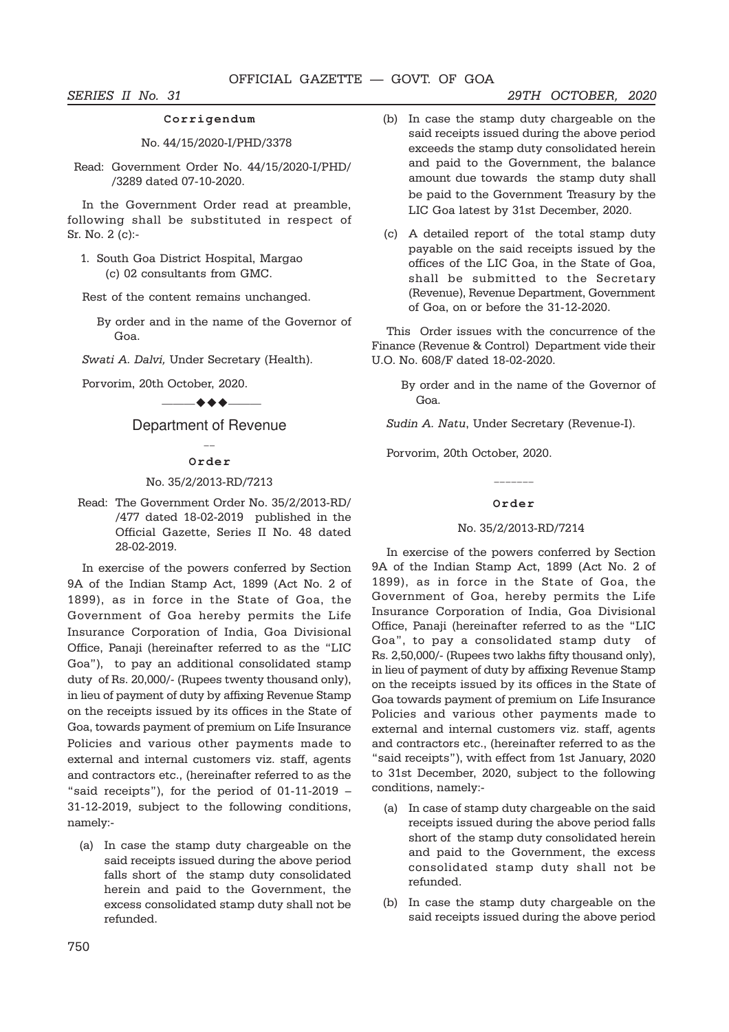#### **Corrigendum**

#### No. 44/15/2020-I/PHD/3378

Read: Government Order No. 44/15/2020-I/PHD/ /3289 dated 07-10-2020.

In the Government Order read at preamble, following shall be substituted in respect of Sr. No. 2 (c):-

1. South Goa District Hospital, Margao (c) 02 consultants from GMC.

Rest of the content remains unchanged.

By order and in the name of the Governor of Goa.

Swati A. Dalvi, Under Secretary (Health).

Porvorim, 20th October, 2020.

## $-$  + +  $-$

Department of Revenue  $\overline{a}$ 

#### **Order**

#### No. 35/2/2013-RD/7213

Read: The Government Order No. 35/2/2013-RD/ /477 dated 18-02-2019 published in the Official Gazette, Series II No. 48 dated 28-02-2019.

In exercise of the powers conferred by Section 9A of the Indian Stamp Act, 1899 (Act No. 2 of 1899), as in force in the State of Goa, the Government of Goa hereby permits the Life Insurance Corporation of India, Goa Divisional Office, Panaji (hereinafter referred to as the "LIC Goa"), to pay an additional consolidated stamp duty of Rs. 20,000/- (Rupees twenty thousand only), in lieu of payment of duty by affixing Revenue Stamp on the receipts issued by its offices in the State of Goa, towards payment of premium on Life Insurance Policies and various other payments made to external and internal customers viz. staff, agents and contractors etc., (hereinafter referred to as the "said receipts"), for the period of 01-11-2019 – 31-12-2019, subject to the following conditions, namely:-

(a) In case the stamp duty chargeable on the said receipts issued during the above period falls short of the stamp duty consolidated herein and paid to the Government, the excess consolidated stamp duty shall not be refunded.

- (b) In case the stamp duty chargeable on the said receipts issued during the above period exceeds the stamp duty consolidated herein and paid to the Government, the balance amount due towards the stamp duty shall be paid to the Government Treasury by the LIC Goa latest by 31st December, 2020.
- (c) A detailed report of the total stamp duty payable on the said receipts issued by the offices of the LIC Goa, in the State of Goa, shall be submitted to the Secretary (Revenue), Revenue Department, Government of Goa, on or before the 31-12-2020.

This Order issues with the concurrence of the Finance (Revenue & Control) Department vide their U.O. No. 608/F dated 18-02-2020.

By order and in the name of the Governor of Goa.

Sudin A. Natu, Under Secretary (Revenue-I).

Porvorim, 20th October, 2020.

#### **Order**

#### No. 35/2/2013-RD/7214

In exercise of the powers conferred by Section 9A of the Indian Stamp Act, 1899 (Act No. 2 of 1899), as in force in the State of Goa, the Government of Goa, hereby permits the Life Insurance Corporation of India, Goa Divisional Office, Panaji (hereinafter referred to as the "LIC Goa", to pay a consolidated stamp duty of Rs. 2,50,000/- (Rupees two lakhs fifty thousand only), in lieu of payment of duty by affixing Revenue Stamp on the receipts issued by its offices in the State of Goa towards payment of premium on Life Insurance Policies and various other payments made to external and internal customers viz. staff, agents and contractors etc., (hereinafter referred to as the "said receipts"), with effect from 1st January, 2020 to 31st December, 2020, subject to the following conditions, namely:-

- (a) In case of stamp duty chargeable on the said receipts issued during the above period falls short of the stamp duty consolidated herein and paid to the Government, the excess consolidated stamp duty shall not be refunded.
- (b) In case the stamp duty chargeable on the said receipts issued during the above period

#### SERIES II No. 31 29TH OCTOBER, 2020